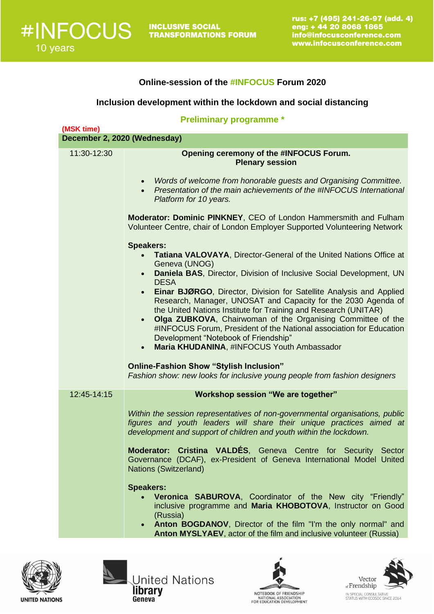## **Online-session of the #INFOCUS Forum 2020**

## **Inclusion development within the lockdown and social distancing**

| <b>Preliminary programme *</b><br>(MSK time) |                                                                                                                                                                                                                                                                                                                                                                                                                                                                                                                                                                                                                                                                                                                                                                                                            |  |
|----------------------------------------------|------------------------------------------------------------------------------------------------------------------------------------------------------------------------------------------------------------------------------------------------------------------------------------------------------------------------------------------------------------------------------------------------------------------------------------------------------------------------------------------------------------------------------------------------------------------------------------------------------------------------------------------------------------------------------------------------------------------------------------------------------------------------------------------------------------|--|
| December 2, 2020 (Wednesday)                 |                                                                                                                                                                                                                                                                                                                                                                                                                                                                                                                                                                                                                                                                                                                                                                                                            |  |
| 11:30-12:30                                  | Opening ceremony of the #INFOCUS Forum.<br><b>Plenary session</b>                                                                                                                                                                                                                                                                                                                                                                                                                                                                                                                                                                                                                                                                                                                                          |  |
|                                              | Words of welcome from honorable guests and Organising Committee.<br>Presentation of the main achievements of the #INFOCUS International<br>Platform for 10 years.                                                                                                                                                                                                                                                                                                                                                                                                                                                                                                                                                                                                                                          |  |
|                                              | Moderator: Dominic PINKNEY, CEO of London Hammersmith and Fulham<br>Volunteer Centre, chair of London Employer Supported Volunteering Network                                                                                                                                                                                                                                                                                                                                                                                                                                                                                                                                                                                                                                                              |  |
|                                              | <b>Speakers:</b><br>Tatiana VALOVAYA, Director-General of the United Nations Office at<br>Geneva (UNOG)<br>Daniela BAS, Director, Division of Inclusive Social Development, UN<br>$\bullet$<br><b>DESA</b><br>Einar BJØRGO, Director, Division for Satellite Analysis and Applied<br>$\bullet$<br>Research, Manager, UNOSAT and Capacity for the 2030 Agenda of<br>the United Nations Institute for Training and Research (UNITAR)<br>Olga ZUBKOVA, Chairwoman of the Organising Committee of the<br>$\bullet$<br>#INFOCUS Forum, President of the National association for Education<br>Development "Notebook of Friendship"<br>Maria KHUDANINA, #INFOCUS Youth Ambassador<br><b>Online-Fashion Show "Stylish Inclusion"</b><br>Fashion show: new looks for inclusive young people from fashion designers |  |
| 12:45-14:15                                  | Workshop session "We are together"<br>Within the session representatives of non-governmental organisations, public<br>figures and youth leaders will share their unique practices aimed at<br>development and support of children and youth within the lockdown.<br>Moderator: Cristina VALDÉS, Geneva Centre for Security Sector<br>Governance (DCAF), ex-President of Geneva International Model United<br><b>Nations (Switzerland)</b><br><b>Speakers:</b><br>Veronica SABUROVA, Coordinator of the New city "Friendly"<br>$\bullet$<br>inclusive programme and Maria KHOBOTOVA, Instructor on Good<br>(Russia)                                                                                                                                                                                         |  |
|                                              | • Anton BOGDANOV, Director of the film "I'm the only normal" and<br>Anton MYSLYAEV, actor of the film and inclusive volunteer (Russia)                                                                                                                                                                                                                                                                                                                                                                                                                                                                                                                                                                                                                                                                     |  |







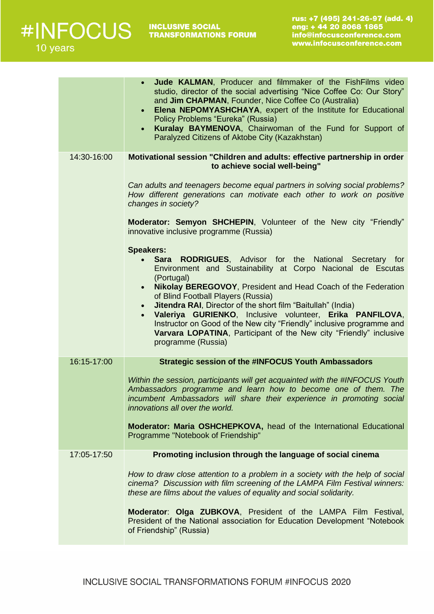|             | Jude KALMAN, Producer and filmmaker of the FishFilms video<br>studio, director of the social advertising "Nice Coffee Co: Our Story"<br>and Jim CHAPMAN, Founder, Nice Coffee Co (Australia)<br>Elena NEPOMYASHCHAYA, expert of the Institute for Educational<br>$\bullet$<br>Policy Problems "Eureka" (Russia)<br>Kuralay BAYMENOVA, Chairwoman of the Fund for Support of<br>Paralyzed Citizens of Aktobe City (Kazakhstan)                                                                                                                                                                      |
|-------------|----------------------------------------------------------------------------------------------------------------------------------------------------------------------------------------------------------------------------------------------------------------------------------------------------------------------------------------------------------------------------------------------------------------------------------------------------------------------------------------------------------------------------------------------------------------------------------------------------|
| 14:30-16:00 | Motivational session "Children and adults: effective partnership in order<br>to achieve social well-being"                                                                                                                                                                                                                                                                                                                                                                                                                                                                                         |
|             | Can adults and teenagers become equal partners in solving social problems?<br>How different generations can motivate each other to work on positive<br>changes in society?                                                                                                                                                                                                                                                                                                                                                                                                                         |
|             | Moderator: Semyon SHCHEPIN, Volunteer of the New city "Friendly"<br>innovative inclusive programme (Russia)                                                                                                                                                                                                                                                                                                                                                                                                                                                                                        |
|             | <b>Speakers:</b><br>• Sara RODRIGUES, Advisor for the National Secretary for<br>Environment and Sustainability at Corpo Nacional de Escutas<br>(Portugal)<br>Nikolay BEREGOVOY, President and Head Coach of the Federation<br>$\bullet$<br>of Blind Football Players (Russia)<br><b>Jitendra RAI, Director of the short film "Baitullah" (India)</b><br>$\bullet$<br>Valeriya GURIENKO, Inclusive volunteer, Erika PANFILOVA,<br>Instructor on Good of the New city "Friendly" inclusive programme and<br>Varvara LOPATINA, Participant of the New city "Friendly" inclusive<br>programme (Russia) |
| 16:15-17:00 | <b>Strategic session of the #INFOCUS Youth Ambassadors</b>                                                                                                                                                                                                                                                                                                                                                                                                                                                                                                                                         |
|             | Within the session, participants will get acquainted with the #INFOCUS Youth<br>Ambassadors programme and learn how to become one of them. The<br>incumbent Ambassadors will share their experience in promoting social<br>innovations all over the world.                                                                                                                                                                                                                                                                                                                                         |
|             | Moderator: Maria OSHCHEPKOVA, head of the International Educational<br>Programme "Notebook of Friendship"                                                                                                                                                                                                                                                                                                                                                                                                                                                                                          |
| 17:05-17:50 | Promoting inclusion through the language of social cinema                                                                                                                                                                                                                                                                                                                                                                                                                                                                                                                                          |
|             | How to draw close attention to a problem in a society with the help of social<br>cinema? Discussion with film screening of the LAMPA Film Festival winners:<br>these are films about the values of equality and social solidarity.                                                                                                                                                                                                                                                                                                                                                                 |
|             | Moderator: Olga ZUBKOVA, President of the LAMPA Film Festival,<br>President of the National association for Education Development "Notebook<br>of Friendship" (Russia)                                                                                                                                                                                                                                                                                                                                                                                                                             |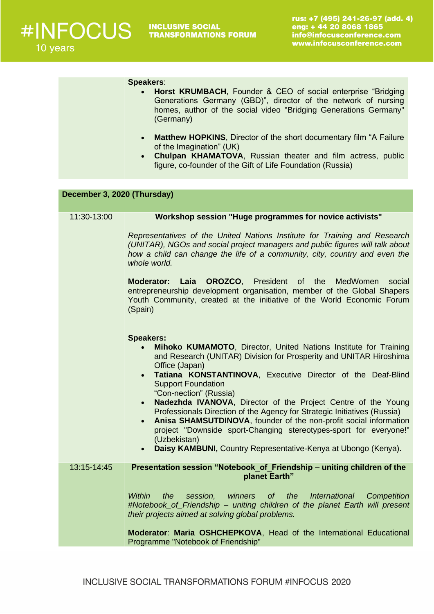|                             | <b>Speakers:</b><br>Horst KRUMBACH, Founder & CEO of social enterprise "Bridging"<br>Generations Germany (GBD)", director of the network of nursing<br>homes, author of the social video "Bridging Generations Germany"<br>(Germany)<br><b>Matthew HOPKINS, Director of the short documentary film "A Failure</b> "<br>$\bullet$<br>of the Imagination" (UK)<br>Chulpan KHAMATOVA, Russian theater and film actress, public<br>$\bullet$<br>figure, co-founder of the Gift of Life Foundation (Russia)                                                                                                                                                                                                |  |
|-----------------------------|-------------------------------------------------------------------------------------------------------------------------------------------------------------------------------------------------------------------------------------------------------------------------------------------------------------------------------------------------------------------------------------------------------------------------------------------------------------------------------------------------------------------------------------------------------------------------------------------------------------------------------------------------------------------------------------------------------|--|
| December 3, 2020 (Thursday) |                                                                                                                                                                                                                                                                                                                                                                                                                                                                                                                                                                                                                                                                                                       |  |
| 11:30-13:00                 | <b>Workshop session "Huge programmes for novice activists"</b>                                                                                                                                                                                                                                                                                                                                                                                                                                                                                                                                                                                                                                        |  |
|                             | Representatives of the United Nations Institute for Training and Research<br>(UNITAR), NGOs and social project managers and public figures will talk about<br>how a child can change the life of a community, city, country and even the<br>whole world.<br>Laia OROZCO, President of the<br>MedWomen<br>social<br><b>Moderator:</b><br>entrepreneurship development organisation, member of the Global Shapers<br>Youth Community, created at the initiative of the World Economic Forum<br>(Spain)                                                                                                                                                                                                  |  |
|                             | <b>Speakers:</b><br>Mihoko KUMAMOTO, Director, United Nations Institute for Training<br>and Research (UNITAR) Division for Prosperity and UNITAR Hiroshima<br>Office (Japan)<br>Tatiana KONSTANTINOVA, Executive Director of the Deaf-Blind<br><b>Support Foundation</b><br>"Con-nection" (Russia)<br>Nadezhda IVANOVA, Director of the Project Centre of the Young<br>Professionals Direction of the Agency for Strategic Initiatives (Russia)<br>Anisa SHAMSUTDINOVA, founder of the non-profit social information<br>$\bullet$<br>project "Downside sport-Changing stereotypes-sport for everyone!"<br>(Uzbekistan)<br>Daisy KAMBUNI, Country Representative-Kenya at Ubongo (Kenya).<br>$\bullet$ |  |
| 13:15-14:45                 | Presentation session "Notebook_of_Friendship – uniting children of the<br>planet Earth"                                                                                                                                                                                                                                                                                                                                                                                                                                                                                                                                                                                                               |  |
|                             | Within<br>Competition<br>the<br>session,<br>winners of the International<br>#Notebook_of_Friendship - uniting children of the planet Earth will present<br>their projects aimed at solving global problems.<br>Moderator: Maria OSHCHEPKOVA, Head of the International Educational<br>Programme "Notebook of Friendship"                                                                                                                                                                                                                                                                                                                                                                              |  |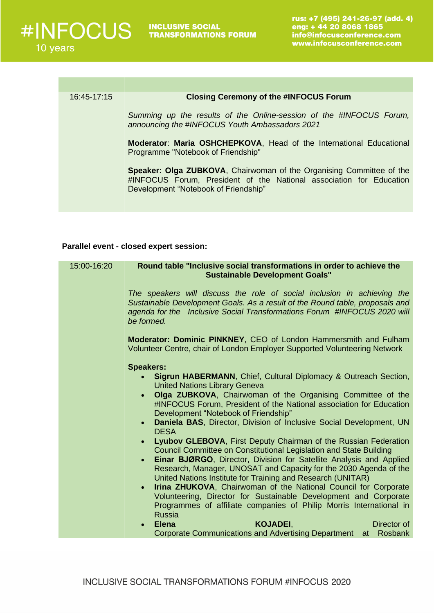

| <b>Closing Ceremony of the #INFOCUS Forum</b>                                                                                                                                       |
|-------------------------------------------------------------------------------------------------------------------------------------------------------------------------------------|
|                                                                                                                                                                                     |
| Summing up the results of the Online-session of the #INFOCUS Forum,<br>announcing the #INFOCUS Youth Ambassadors 2021                                                               |
| <b>Moderator: Maria OSHCHEPKOVA, Head of the International Educational</b><br>Programme "Notebook of Friendship"                                                                    |
| Speaker: Olga ZUBKOVA, Chairwoman of the Organising Committee of the<br>#INFOCUS Forum, President of the National association for Education<br>Development "Notebook of Friendship" |
|                                                                                                                                                                                     |

## **Parallel event - closed expert session:**

| 15:00-16:20 | Round table "Inclusive social transformations in order to achieve the                       |
|-------------|---------------------------------------------------------------------------------------------|
|             | <b>Sustainable Development Goals"</b>                                                       |
|             |                                                                                             |
|             | The speakers will discuss the role of social inclusion in achieving the                     |
|             | Sustainable Development Goals. As a result of the Round table, proposals and                |
|             | agenda for the Inclusive Social Transformations Forum #INFOCUS 2020 will                    |
|             | be formed.                                                                                  |
|             | Moderator: Dominic PINKNEY, CEO of London Hammersmith and Fulham                            |
|             | Volunteer Centre, chair of London Employer Supported Volunteering Network                   |
|             |                                                                                             |
|             | <b>Speakers:</b>                                                                            |
|             | <b>Sigrun HABERMANN, Chief, Cultural Diplomacy &amp; Outreach Section,</b><br>$\bullet$     |
|             | <b>United Nations Library Geneva</b>                                                        |
|             | Olga ZUBKOVA, Chairwoman of the Organising Committee of the<br>$\bullet$                    |
|             | #INFOCUS Forum, President of the National association for Education                         |
|             | Development "Notebook of Friendship"                                                        |
|             | Daniela BAS, Director, Division of Inclusive Social Development, UN<br>$\bullet$            |
|             | <b>DESA</b><br>Lyubov GLEBOVA, First Deputy Chairman of the Russian Federation<br>$\bullet$ |
|             | Council Committee on Constitutional Legislation and State Building                          |
|             | Einar BJØRGO, Director, Division for Satellite Analysis and Applied<br>$\bullet$            |
|             | Research, Manager, UNOSAT and Capacity for the 2030 Agenda of the                           |
|             | United Nations Institute for Training and Research (UNITAR)                                 |
|             | Irina ZHUKOVA, Chairwoman of the National Council for Corporate<br>$\bullet$                |
|             | Volunteering, Director for Sustainable Development and Corporate                            |
|             | Programmes of affiliate companies of Philip Morris International in                         |
|             | <b>Russia</b>                                                                               |
|             | <b>Elena</b><br><b>KOJADEI.</b><br>Director of                                              |
|             | <b>Corporate Communications and Advertising Department</b><br>at Rosbank                    |